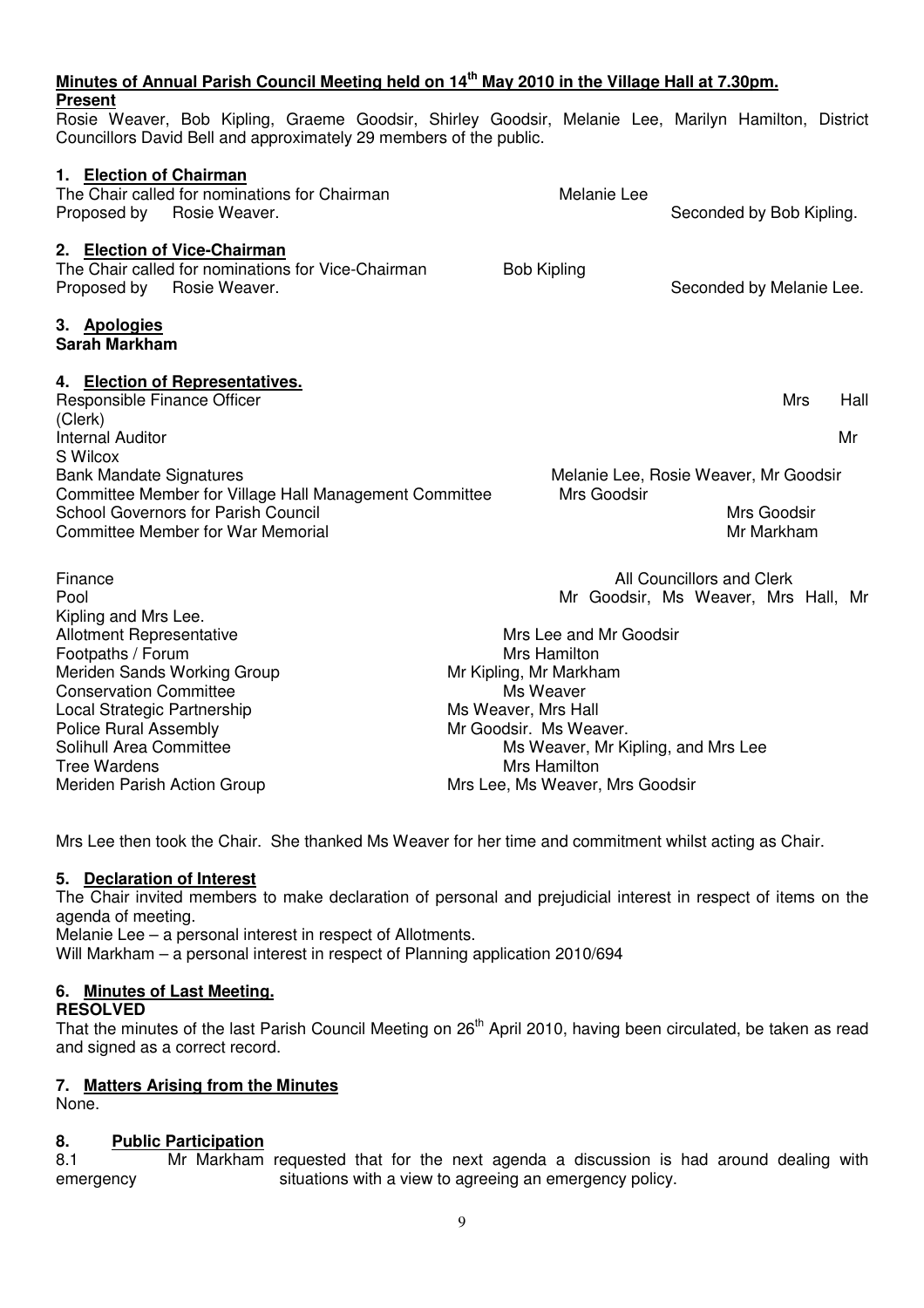## **Minutes of Annual Parish Council Meeting held on 14th May 2010 in the Village Hall at 7.30pm.**

## **Present**

Rosie Weaver, Bob Kipling, Graeme Goodsir, Shirley Goodsir, Melanie Lee, Marilyn Hamilton, District Councillors David Bell and approximately 29 members of the public.

#### **1. Election of Chairman**

| <b>LICONON OF ORDINIST</b><br>The Chair called for nominations for Chairman<br>Proposed by<br>Rosie Weaver.                                                                                    | Melanie Lee                                                                         | Seconded by Bob Kipling.                                           |      |  |  |
|------------------------------------------------------------------------------------------------------------------------------------------------------------------------------------------------|-------------------------------------------------------------------------------------|--------------------------------------------------------------------|------|--|--|
| 2. Election of Vice-Chairman<br>The Chair called for nominations for Vice-Chairman<br>Proposed by Rosie Weaver.                                                                                | <b>Bob Kipling</b>                                                                  | Seconded by Melanie Lee.                                           |      |  |  |
| 3. Apologies<br><b>Sarah Markham</b>                                                                                                                                                           |                                                                                     |                                                                    |      |  |  |
| 4. Election of Representatives.<br>Responsible Finance Officer<br>(Clerk)                                                                                                                      |                                                                                     | <b>Mrs</b>                                                         | Hall |  |  |
| <b>Internal Auditor</b>                                                                                                                                                                        |                                                                                     |                                                                    | Mr   |  |  |
| S Wilcox<br><b>Bank Mandate Signatures</b><br>Committee Member for Village Hall Management Committee<br><b>School Governors for Parish Council</b><br><b>Committee Member for War Memorial</b> | Mrs Goodsir                                                                         | Melanie Lee, Rosie Weaver, Mr Goodsir<br>Mrs Goodsir<br>Mr Markham |      |  |  |
| Finance<br>Pool<br>Kipling and Mrs Lee.<br><b>Allotment Representative</b>                                                                                                                     | Mrs Lee and Mr Goodsir                                                              | All Councillors and Clerk<br>Mr Goodsir, Ms Weaver, Mrs Hall, Mr   |      |  |  |
| Footpaths / Forum<br>Meriden Sands Working Group<br><b>Conservation Committee</b>                                                                                                              | Mrs Hamilton<br>Mr Kipling, Mr Markham<br>Ms Weaver                                 |                                                                    |      |  |  |
| Local Strategic Partnership<br><b>Police Rural Assembly</b><br>Solihull Area Committee                                                                                                         | Ms Weaver, Mrs Hall<br>Mr Goodsir. Ms Weaver.<br>Ms Weaver, Mr Kipling, and Mrs Lee |                                                                    |      |  |  |
| Tree Wardens                                                                                                                                                                                   | Mrs Hamilton                                                                        |                                                                    |      |  |  |

Meriden Parish Action Group Music Control Mrs Lee, Ms Weaver, Mrs Goodsir

Mrs Lee then took the Chair. She thanked Ms Weaver for her time and commitment whilst acting as Chair.

## **5. Declaration of Interest**

The Chair invited members to make declaration of personal and prejudicial interest in respect of items on the agenda of meeting.

Melanie Lee – a personal interest in respect of Allotments. Will Markham – a personal interest in respect of Planning application 2010/694

## **6. Minutes of Last Meeting.**

## **RESOLVED**

That the minutes of the last Parish Council Meeting on 26<sup>th</sup> April 2010, having been circulated, be taken as read and signed as a correct record.

## **7. Matters Arising from the Minutes**

None.

## **8. Public Participation**

8.1Mr Markham requested that for the next agenda a discussion is had around dealing with emergency situations with a view to agreeing an emergency policy.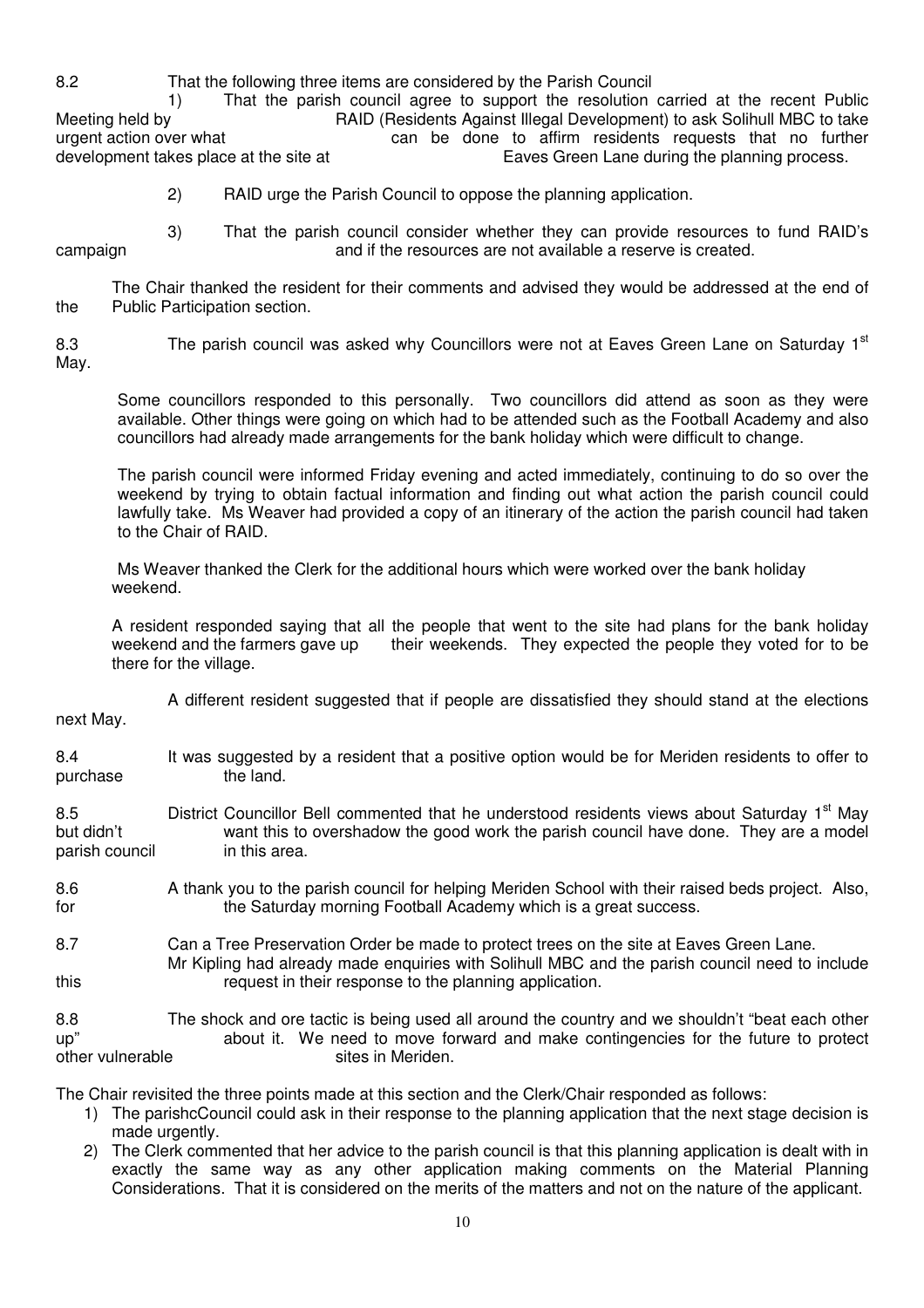8.2 That the following three items are considered by the Parish Council 1) That the parish council agree to support the resolution carried at the recent Public Meeting held by **RAID** (Residents Against Illegal Development) to ask Solihull MBC to take<br>urgent action over what can be done to affirm residents requests that no further can be done to affirm residents requests that no further development takes place at the site at Early Eaves Green Lane during the planning process.

2) RAID urge the Parish Council to oppose the planning application.

 3) That the parish council consider whether they can provide resources to fund RAID's campaign and if the resources are not available a reserve is created.

 The Chair thanked the resident for their comments and advised they would be addressed at the end of the Public Participation section.

8.3 The parish council was asked why Councillors were not at Eaves Green Lane on Saturday 1<sup>st</sup> May.

Some councillors responded to this personally. Two councillors did attend as soon as they were available. Other things were going on which had to be attended such as the Football Academy and also councillors had already made arrangements for the bank holiday which were difficult to change.

The parish council were informed Friday evening and acted immediately, continuing to do so over the weekend by trying to obtain factual information and finding out what action the parish council could lawfully take. Ms Weaver had provided a copy of an itinerary of the action the parish council had taken to the Chair of RAID.

Ms Weaver thanked the Clerk for the additional hours which were worked over the bank holiday weekend.

 A resident responded saying that all the people that went to the site had plans for the bank holiday weekend and the farmers gave up their weekends. They expected the people they voted for to be there for the village.

 A different resident suggested that if people are dissatisfied they should stand at the elections next May.

8.4 It was suggested by a resident that a positive option would be for Meriden residents to offer to purchase the land.

8.5 **District Councillor Bell commented that he understood residents views about Saturday 1<sup>st</sup> May** but didn't want this to overshadow the good work the parish council have done. They are a model parish council in this area.

8.6 A thank you to the parish council for helping Meriden School with their raised beds project. Also, for the Saturday morning Football Academy which is a great success.

8.7 Can a Tree Preservation Order be made to protect trees on the site at Eaves Green Lane. Mr Kipling had already made enquiries with Solihull MBC and the parish council need to include this request in their response to the planning application.

8.8 The shock and ore tactic is being used all around the country and we shouldn't "beat each other up" about it. We need to move forward and make contingencies for the future to protect other vulnerable sites in Meriden.

The Chair revisited the three points made at this section and the Clerk/Chair responded as follows:

- 1) The parishcCouncil could ask in their response to the planning application that the next stage decision is made urgently.
- 2) The Clerk commented that her advice to the parish council is that this planning application is dealt with in exactly the same way as any other application making comments on the Material Planning Considerations. That it is considered on the merits of the matters and not on the nature of the applicant.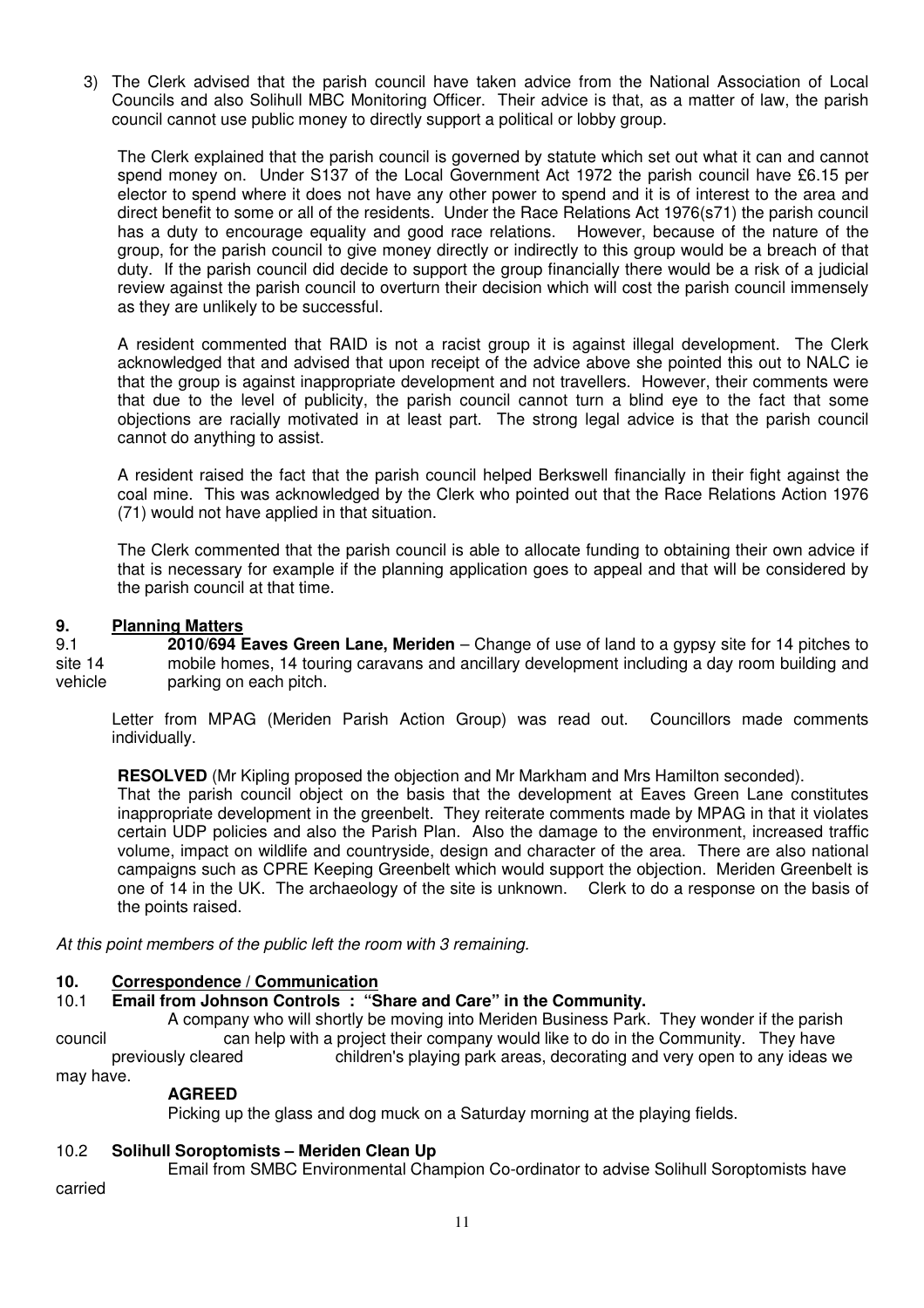3) The Clerk advised that the parish council have taken advice from the National Association of Local Councils and also Solihull MBC Monitoring Officer. Their advice is that, as a matter of law, the parish council cannot use public money to directly support a political or lobby group.

The Clerk explained that the parish council is governed by statute which set out what it can and cannot spend money on. Under S137 of the Local Government Act 1972 the parish council have £6.15 per elector to spend where it does not have any other power to spend and it is of interest to the area and direct benefit to some or all of the residents. Under the Race Relations Act 1976(s71) the parish council has a duty to encourage equality and good race relations. However, because of the nature of the group, for the parish council to give money directly or indirectly to this group would be a breach of that duty. If the parish council did decide to support the group financially there would be a risk of a judicial review against the parish council to overturn their decision which will cost the parish council immensely as they are unlikely to be successful.

A resident commented that RAID is not a racist group it is against illegal development. The Clerk acknowledged that and advised that upon receipt of the advice above she pointed this out to NALC ie that the group is against inappropriate development and not travellers. However, their comments were that due to the level of publicity, the parish council cannot turn a blind eye to the fact that some objections are racially motivated in at least part. The strong legal advice is that the parish council cannot do anything to assist.

A resident raised the fact that the parish council helped Berkswell financially in their fight against the coal mine. This was acknowledged by the Clerk who pointed out that the Race Relations Action 1976 (71) would not have applied in that situation.

The Clerk commented that the parish council is able to allocate funding to obtaining their own advice if that is necessary for example if the planning application goes to appeal and that will be considered by the parish council at that time.

## **9. Planning Matters**<br>9.1 **2010/694 B**

9.1 **2010/694 Eaves Green Lane, Meriden** – Change of use of land to a gypsy site for 14 pitches to site 14 mobile homes, 14 touring caravans and ancillary development including a day room building and vehicle parking on each pitch.

 Letter from MPAG (Meriden Parish Action Group) was read out. Councillors made comments individually.

**RESOLVED** (Mr Kipling proposed the objection and Mr Markham and Mrs Hamilton seconded).

That the parish council object on the basis that the development at Eaves Green Lane constitutes inappropriate development in the greenbelt. They reiterate comments made by MPAG in that it violates certain UDP policies and also the Parish Plan. Also the damage to the environment, increased traffic volume, impact on wildlife and countryside, design and character of the area. There are also national campaigns such as CPRE Keeping Greenbelt which would support the objection. Meriden Greenbelt is one of 14 in the UK. The archaeology of the site is unknown. Clerk to do a response on the basis of the points raised.

At this point members of the public left the room with 3 remaining.

# **10. Correspondence / Communication**<br>**10.1 Email from Johnson Controls: "S**

#### 10.1 **Email from Johnson Controls : "Share and Care" in the Community.**

 A company who will shortly be moving into Meriden Business Park. They wonder if the parish council can help with a project their company would like to do in the Community. They have previously cleared children's playing park areas, decorating and very open to any ideas we may have.

#### **AGREED**

Picking up the glass and dog muck on a Saturday morning at the playing fields.

#### 10.2 **Solihull Soroptomists – Meriden Clean Up**

Email from SMBC Environmental Champion Co-ordinator to advise Solihull Soroptomists have

carried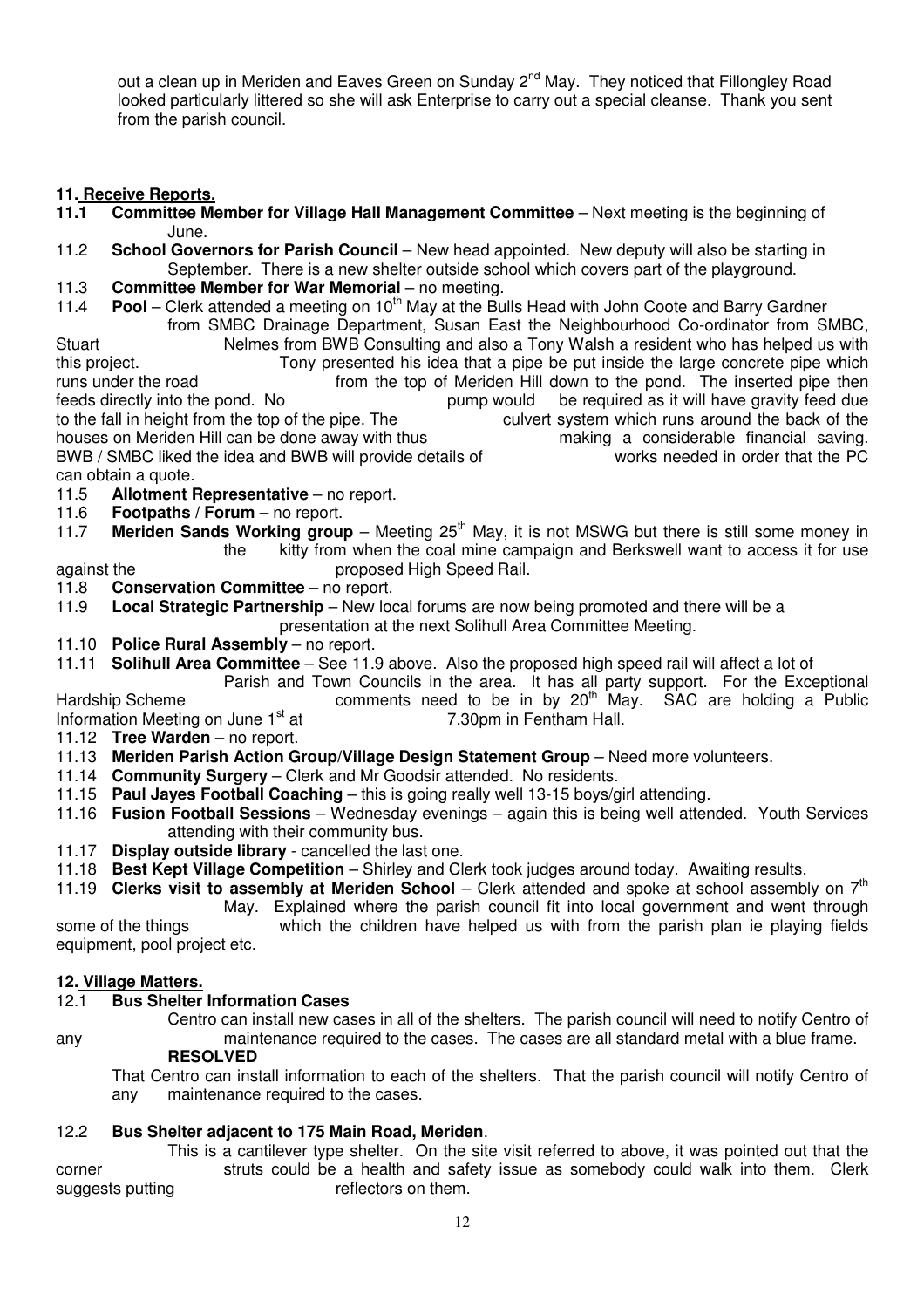out a clean up in Meriden and Eaves Green on Sunday 2<sup>nd</sup> May. They noticed that Fillongley Road looked particularly littered so she will ask Enterprise to carry out a special cleanse. Thank you sent from the parish council.

## **11. Receive Reports.**

- **11.1 Committee Member for Village Hall Management Committee**  Next meeting is the beginning of June.<br>11.2 **School Gove**
- **School Governors for Parish Council** New head appointed. New deputy will also be starting in September. There is a new shelter outside school which covers part of the playground.
- 11.3 **Committee Member for War Memorial** no meeting.
- 11.4 **Pool** Clerk attended a meeting on 10<sup>th</sup> May at the Bulls Head with John Coote and Barry Gardner from SMBC Drainage Department, Susan East the Neighbourhood Co-ordinator from SMBC,

Stuart Nelmes from BWB Consulting and also a Tony Walsh a resident who has helped us with this project. Tony presented his idea that a pipe be put inside the large concrete pipe which runs under the road from the top of Meriden Hill down to the pond. The inserted pipe then feeds directly into the pond. No pump would be required as it will have gravity feed due to the fall in height from the top of the pipe. The culvert system which runs around the back of the houses on Meriden Hill can be done away with thus making a considerable financial saving. houses on Meriden Hill can be done away with thus making a considerable financial saving.<br>BWB / SMBC liked the idea and BWB will provide details of works needed in order that the PC BWB / SMBC liked the idea and BWB will provide details of can obtain a quote.

- 11.5 **Allotment Representative** no report.
- 11.6 **Footpaths / Forum** no report.
- 11.7 **Meriden Sands Working group** Meeting 25<sup>th</sup> May, it is not MSWG but there is still some money in the kitty from when the coal mine campaign and Berkswell want to access it for use against the **proposed High Speed Rail.**
- 11.8 **Conservation Committee** no report.
- 11.9 **Local Strategic Partnership** New local forums are now being promoted and there will be a
- presentation at the next Solihull Area Committee Meeting.
- 11.10 **Police Rural Assembly** no report.
- 11.11 **Solihull Area Committee** See 11.9 above. Also the proposed high speed rail will affect a lot of

 Parish and Town Councils in the area. It has all party support. For the Exceptional Hardship Scheme **comments** need to be in by  $20<sup>th</sup>$  May. SAC are holding a Public Information Meeting on June 1<sup>st</sup> at 7.30pm in Fentham Hall.

- 11.12 **Tree Warden** no report.
- 11.13 **Meriden Parish Action Group/Village Design Statement Group** Need more volunteers.
- 11.14 **Community Surgery** Clerk and Mr Goodsir attended. No residents.
- 11.15 **Paul Jayes Football Coaching** this is going really well 13-15 boys/girl attending.
- 11.16 **Fusion Football Sessions** Wednesday evenings again this is being well attended. Youth Services attending with their community bus.
- 11.17 **Display outside library** cancelled the last one.
- 11.18 **Best Kept Village Competition** Shirley and Clerk took judges around today. Awaiting results.
- 11.19 **Clerks visit to assembly at Meriden School**  Clerk attended and spoke at school assembly on 7th
	- May. Explained where the parish council fit into local government and went through

some of the things which the children have helped us with from the parish plan ie playing fields equipment, pool project etc.

# **12. Village Matters.**

## 12.1 **Bus Shelter Information Cases**

 Centro can install new cases in all of the shelters. The parish council will need to notify Centro of any maintenance required to the cases. The cases are all standard metal with a blue frame.

## **RESOLVED**

 That Centro can install information to each of the shelters. That the parish council will notify Centro of any maintenance required to the cases.

## 12.2 **Bus Shelter adjacent to 175 Main Road, Meriden**.

 This is a cantilever type shelter. On the site visit referred to above, it was pointed out that the corner struts could be a health and safety issue as somebody could walk into them. Clerk suggests putting reflectors on them.